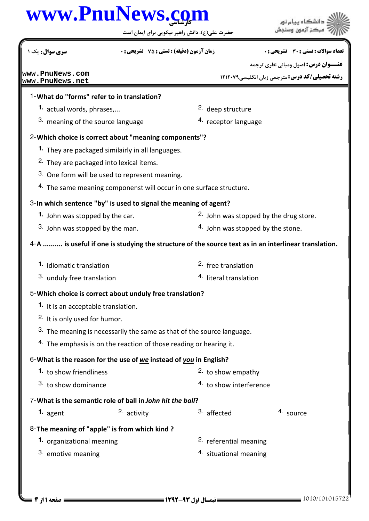## كارشناسي **[www.PnuNews.com](http://www.PnuNews.com)**

حضرت علي(ع): دانش راهبر نيكويي براي ايمان است

عمد الشڪاه پيام نور<br>حمايت ميڪز آزمون وسنڊش

| سری سوال: یک ۱                                                                                       |             | <b>زمان آزمون (دقیقه) : تستی : 75 ٪ تشریحی : 0</b> |                        |                                                       |  | <b>تعداد سوالات : تستی : 30 ٪ تشریحی : 0</b> |  |
|------------------------------------------------------------------------------------------------------|-------------|----------------------------------------------------|------------------------|-------------------------------------------------------|--|----------------------------------------------|--|
|                                                                                                      |             |                                                    |                        |                                                       |  | <b>عنـــوان درس:</b> اصول ومبانی نظری ترجمه  |  |
| www.PnuNews.com<br>www.PnuNews.net                                                                   |             |                                                    |                        | <b>رشته تحصیلی/کد درس:</b> مترجمی زبان انگلیسی1۲۱۲۰۷۹ |  |                                              |  |
| 1-What do "forms" refer to in translation?                                                           |             |                                                    |                        |                                                       |  |                                              |  |
| 1. actual words, phrases,                                                                            |             |                                                    |                        | 2. deep structure                                     |  |                                              |  |
| 3. meaning of the source language                                                                    |             |                                                    |                        | 4. receptor language                                  |  |                                              |  |
| 2- Which choice is correct about "meaning components"?                                               |             |                                                    |                        |                                                       |  |                                              |  |
| 1. They are packaged similairly in all languages.                                                    |             |                                                    |                        |                                                       |  |                                              |  |
| <sup>2.</sup> They are packaged into lexical items.                                                  |             |                                                    |                        |                                                       |  |                                              |  |
| 3. One form will be used to represent meaning.                                                       |             |                                                    |                        |                                                       |  |                                              |  |
| 4. The same meaning componenst will occur in one surface structure.                                  |             |                                                    |                        |                                                       |  |                                              |  |
| 3-In which sentence "by" is used to signal the meaning of agent?                                     |             |                                                    |                        |                                                       |  |                                              |  |
| 1. John was stopped by the car.                                                                      |             |                                                    |                        | 2. John was stopped by the drug store.                |  |                                              |  |
| 3. John was stopped by the man.                                                                      |             |                                                    |                        | 4. John was stopped by the stone.                     |  |                                              |  |
| 4-A  is useful if one is studying the structure of the source text as in an interlinear translation. |             |                                                    |                        |                                                       |  |                                              |  |
| 1. idiomatic translation                                                                             |             |                                                    |                        | <sup>2</sup> free translation                         |  |                                              |  |
| 3. unduly free translation                                                                           |             |                                                    | 4. literal translation |                                                       |  |                                              |  |
| 5-Which choice is correct about unduly free translation?                                             |             |                                                    |                        |                                                       |  |                                              |  |
| 1. It is an acceptable translation.                                                                  |             |                                                    |                        |                                                       |  |                                              |  |
| 2. It is only used for humor.                                                                        |             |                                                    |                        |                                                       |  |                                              |  |
| 3. The meaning is necessarily the same as that of the source language.                               |             |                                                    |                        |                                                       |  |                                              |  |
| <sup>4.</sup> The emphasis is on the reaction of those reading or hearing it.                        |             |                                                    |                        |                                                       |  |                                              |  |
| 6-What is the reason for the use of we instead of you in English?                                    |             |                                                    |                        |                                                       |  |                                              |  |
| 1. to show friendliness                                                                              |             |                                                    |                        | 2. to show empathy                                    |  |                                              |  |
| 3. to show dominance                                                                                 |             |                                                    |                        | 4. to show interference                               |  |                                              |  |
| 7-What is the semantic role of ball in John hit the ball?                                            |             |                                                    |                        |                                                       |  |                                              |  |
| 1. $agent$                                                                                           | 2. activity |                                                    |                        | 3. affected                                           |  | 4. source                                    |  |
| 8-The meaning of "apple" is from which kind?                                                         |             |                                                    |                        |                                                       |  |                                              |  |
| 1. organizational meaning                                                                            |             |                                                    |                        | <sup>2.</sup> referential meaning                     |  |                                              |  |
| 3. emotive meaning                                                                                   |             |                                                    |                        | 4. situational meaning                                |  |                                              |  |
|                                                                                                      |             |                                                    |                        |                                                       |  |                                              |  |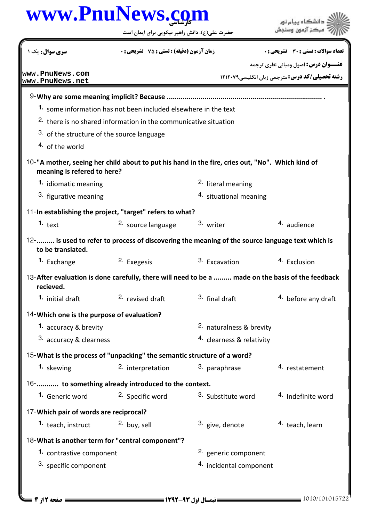## كارشناسي **[www.PnuNews.com](http://www.PnuNews.com)**

حضرت علي(ع): دانش راهبر نيكويي براي ايمان است

| سری سوال : یک ۱                                                                                                                 |                             | زمان آزمون (دقیقه) : تستی : 75 ٪ تشریحی : 0 |  |                                                        |  | <b>تعداد سوالات : تستی : 30 ٪ تشریحی : 0</b> |
|---------------------------------------------------------------------------------------------------------------------------------|-----------------------------|---------------------------------------------|--|--------------------------------------------------------|--|----------------------------------------------|
|                                                                                                                                 |                             |                                             |  |                                                        |  | <b>عنـــوان درس:</b> اصول ومبانی نظری ترجمه  |
| www.PnuNews.com<br>www.PnuNews.net                                                                                              |                             |                                             |  | <b>رشته تحصیلی/کد درس: مترجمی زبان انگلیسی ۱۲۱۲۰۷۹</b> |  |                                              |
|                                                                                                                                 |                             |                                             |  |                                                        |  |                                              |
| 1. some information has not been included elsewhere in the text                                                                 |                             |                                             |  |                                                        |  |                                              |
| <sup>2.</sup> there is no shared information in the communicative situation                                                     |                             |                                             |  |                                                        |  |                                              |
| 3. of the structure of the source language                                                                                      |                             |                                             |  |                                                        |  |                                              |
| 4. of the world                                                                                                                 |                             |                                             |  |                                                        |  |                                              |
| 10-"A mother, seeing her child about to put his hand in the fire, cries out, "No". Which kind of<br>meaning is refered to here? |                             |                                             |  |                                                        |  |                                              |
| 1. idiomatic meaning                                                                                                            |                             |                                             |  | <sup>2.</sup> literal meaning                          |  |                                              |
| 3. figurative meaning                                                                                                           |                             |                                             |  | 4. situational meaning                                 |  |                                              |
| 11-In establishing the project, "target" refers to what?                                                                        |                             |                                             |  |                                                        |  |                                              |
| 1. $text$                                                                                                                       |                             | 2. source language                          |  | 3. writer                                              |  | 4. audience                                  |
| 12-  is used to refer to process of discovering the meaning of the source language text which is<br>to be translated.           |                             |                                             |  |                                                        |  |                                              |
| <sup>1</sup> Exchange                                                                                                           | 2. Exegesis                 |                                             |  | 3. Excavation                                          |  | <sup>4.</sup> Exclusion                      |
| 13-After evaluation is done carefully, there will need to be a  made on the basis of the feedback<br>recieved.                  |                             |                                             |  |                                                        |  |                                              |
| <sup>1.</sup> initial draft                                                                                                     | <sup>2.</sup> revised draft |                                             |  | 3. final draft                                         |  | <sup>4</sup> before any draft                |
| 14-Which one is the purpose of evaluation?                                                                                      |                             |                                             |  |                                                        |  |                                              |
| 1. accuracy & brevity                                                                                                           |                             |                                             |  | 2. naturalness & brevity                               |  |                                              |
| 3. accuracy & clearness                                                                                                         |                             |                                             |  | <sup>4.</sup> clearness & relativity                   |  |                                              |
| 15-What is the process of "unpacking" the semantic structure of a word?                                                         |                             |                                             |  |                                                        |  |                                              |
| 1. skewing                                                                                                                      | 2. interpretation           |                                             |  | 3. paraphrase                                          |  | 4. restatement                               |
| 16- to something already introduced to the context.                                                                             |                             |                                             |  |                                                        |  |                                              |
| 1. Generic word                                                                                                                 | <sup>2.</sup> Specific word |                                             |  | 3. Substitute word                                     |  | 4. Indefinite word                           |
| 17-Which pair of words are reciprocal?                                                                                          |                             |                                             |  |                                                        |  |                                              |
| 1. teach, instruct                                                                                                              | <sup>2.</sup> buy, sell     |                                             |  | 3. give, denote                                        |  | <sup>4.</sup> teach, learn                   |
| 18-What is another term for "central component"?                                                                                |                             |                                             |  |                                                        |  |                                              |
| 1. contrastive component                                                                                                        |                             |                                             |  | 2. generic component                                   |  |                                              |
| 3. specific component                                                                                                           |                             |                                             |  | 4. incidental component                                |  |                                              |
|                                                                                                                                 |                             |                                             |  |                                                        |  |                                              |

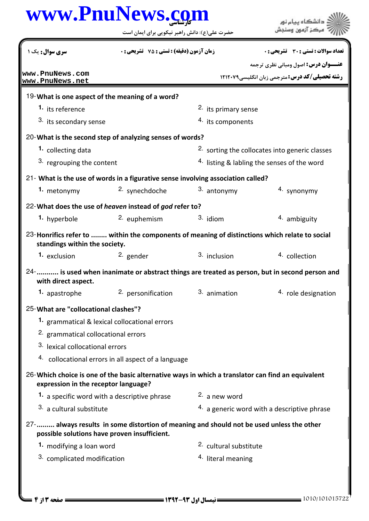## كارشناسي **[www.PnuNews.com](http://www.PnuNews.com)**

حضرت علي(ع): دانش راهبر نيكويي براي ايمان است

**عنـــوان درس:** اصول ومباني نظري ترجمه **رشته تحصیلی/کد درس: مترجمی زبان انگلیسی1۲۱۲۰۷۹** تعداد سوالات : تستي تشريحي زمان آزمون (دقيقه) : تستي تشريحي سري سوال ' ( \*: +, : \* )\*: : : 19- What is one aspect of the meaning of a word?  $2.$  its primary sense  $3.$  its secondary sense its components **1.** its reference What is the second step of analyzing senses of words? 20- 2. sorting the collocates into generic classes 4. listing & labling the senses of the word **1.** collecting data 3. regrouping the content 21 - What is the use of words in a figurative sense involving association called? 1. metonymy antonymy antonymy antonymy antonymy synonymy antonymy synonymy 22- What does the use of heaven instead of god refer to? 1. hyperbole **2.** euphemism and  $\frac{3}{2}$  idiom and  $\frac{4}{2}$  ambiguity 23-Honrifics refer to ........ within the components of meaning of distinctions which relate to social standings within the society. 1. exclusion  $2.$  gender  $3.$  inclusion  $4.$  collection 3. inclusion 24-........... is used when inanimate or abstract things are treated as person, but in second person and with direct aspect. **1.** apastrophe 2. personification and 3. animation and 4. role designation What are "collocational clashes"? 25- 1. grammatical & lexical collocational errors 2. grammatical collocational errors 3. lexical collocational errors 4. collocational errors in all aspect of a language Which choice is one of the basic alternative ways in which a translator can find an equivalent 26 expression in the receptor language? **1.** a specific word with a descriptive phrase **2.** a new word  $4.$  a generic word with a descriptive phrase 3. a cultural substitute 27-......... always results in some distortion of meaning and should not be used unless the other possible solutions have proven insufficient. **1.** modifying a loan word **cultural substitute** and the substitute  $3.$  complicated modification  $1.3$  and  $1.4$  literal meaning **[www.PnuNews.com](http://pnunews.com) [www.PnuNews.net](http://pnunews.net)**